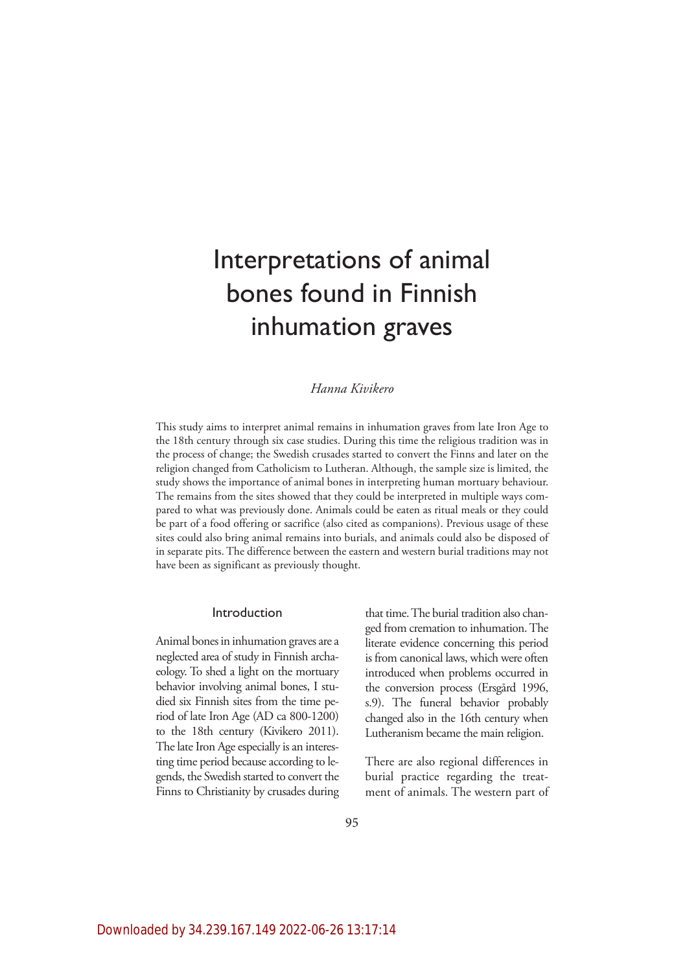# Interpretations of animal bones found in Finnish inhumation graves

# *Hanna Kivikero*

This study aims to interpret animal remains in inhumation graves from late Iron Age to the 18th century through six case studies. During this time the religious tradition was in the process of change; the Swedish crusades started to convert the Finns and later on the religion changed from Catholicism to Lutheran. Although, the sample size is limited, the study shows the importance of animal bones in interpreting human mortuary behaviour. The remains from the sites showed that they could be interpreted in multiple ways compared to what was previously done. Animals could be eaten as ritual meals or they could be part of a food offering or sacrifice (also cited as companions). Previous usage of these sites could also bring animal remains into burials, and animals could also be disposed of in separate pits. The difference between the eastern and western burial traditions may not have been as significant as previously thought.

## Introduction

Animal bones in inhumation graves are a neglected area of study in Finnish archaeology. To shed a light on the mortuary behavior involving animal bones, I studied six Finnish sites from the time period of late Iron Age (AD ca 800-1200) to the 18th century (Kivikero 2011). The late Iron Age especially is an interesting time period because according to legends, the Swedish started to convert the Finns to Christianity by crusades during

that time. The burial tradition also changed from cremation to inhumation. The literate evidence concerning this period is from canonical laws, which were often introduced when problems occurred in the conversion process (Ersgård 1996, s.9). The funeral behavior probably changed also in the 16th century when Lutheranism became the main religion.

There are also regional differences in burial practice regarding the treatment of animals. The western part of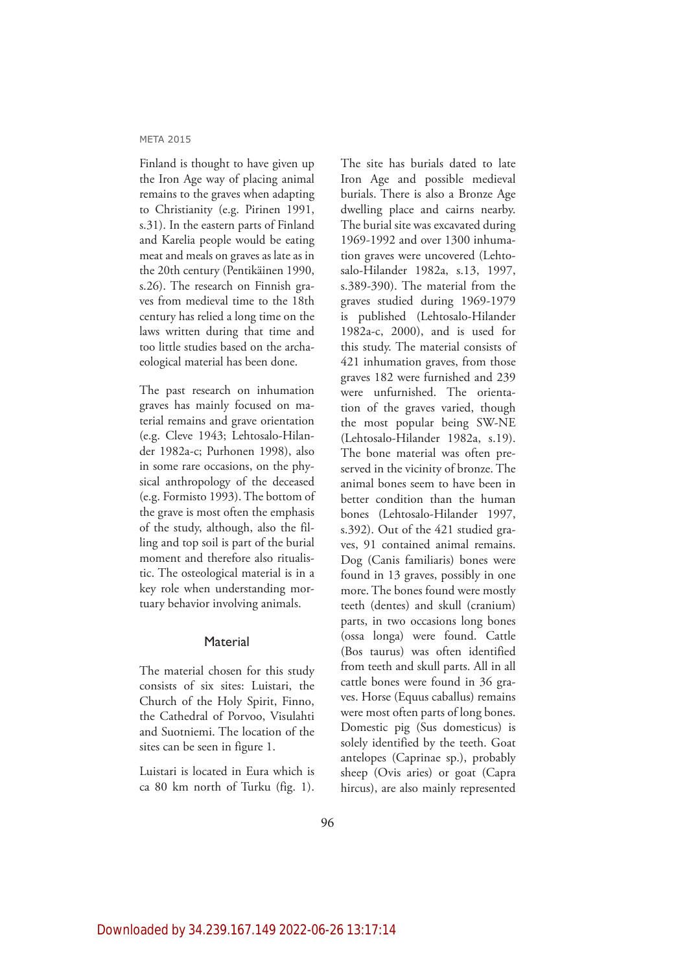Finland is thought to have given up the Iron Age way of placing animal remains to the graves when adapting to Christianity (e.g. Pirinen 1991, s.31). In the eastern parts of Finland and Karelia people would be eating meat and meals on graves as late as in the 20th century (Pentikäinen 1990, s.26). The research on Finnish graves from medieval time to the 18th century has relied a long time on the laws written during that time and too little studies based on the archaeological material has been done.

The past research on inhumation graves has mainly focused on material remains and grave orientation (e.g. Cleve 1943; Lehtosalo-Hilander 1982a-c; Purhonen 1998), also in some rare occasions, on the physical anthropology of the deceased (e.g. Formisto 1993). The bottom of the grave is most often the emphasis of the study, although, also the filling and top soil is part of the burial moment and therefore also ritualistic. The osteological material is in a key role when understanding mortuary behavior involving animals.

## **Material**

The material chosen for this study consists of six sites: Luistari, the Church of the Holy Spirit, Finno, the Cathedral of Porvoo, Visulahti and Suotniemi. The location of the sites can be seen in figure 1.

Luistari is located in Eura which is ca 80 km north of Turku (fig. 1). The site has burials dated to late Iron Age and possible medieval burials. There is also a Bronze Age dwelling place and cairns nearby. The burial site was excavated during 1969-1992 and over 1300 inhumation graves were uncovered (Lehtosalo-Hilander 1982a, s.13, 1997, s.389-390). The material from the graves studied during 1969-1979 is published (Lehtosalo-Hilander 1982a-c, 2000), and is used for this study. The material consists of 421 inhumation graves, from those graves 182 were furnished and 239 were unfurnished. The orientation of the graves varied, though the most popular being SW-NE (Lehtosalo-Hilander 1982a, s.19). The bone material was often preserved in the vicinity of bronze. The animal bones seem to have been in better condition than the human bones (Lehtosalo-Hilander 1997, s.392). Out of the 421 studied graves, 91 contained animal remains. Dog (Canis familiaris) bones were found in 13 graves, possibly in one more. The bones found were mostly teeth (dentes) and skull (cranium) parts, in two occasions long bones (ossa longa) were found. Cattle (Bos taurus) was often identified from teeth and skull parts. All in all cattle bones were found in 36 graves. Horse (Equus caballus) remains were most often parts of long bones. Domestic pig (Sus domesticus) is solely identified by the teeth. Goat antelopes (Caprinae sp.), probably sheep (Ovis aries) or goat (Capra hircus), are also mainly represented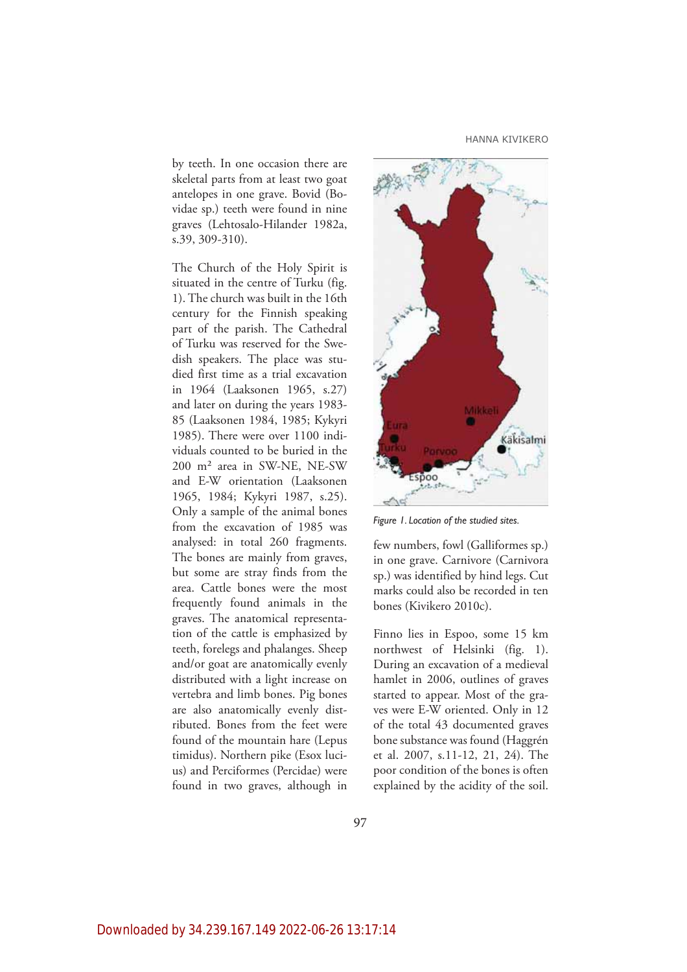HANNA KIVIKERO

by teeth. In one occasion there are skeletal parts from at least two goat antelopes in one grave. Bovid (Bovidae sp.) teeth were found in nine graves (Lehtosalo-Hilander 1982a, s.39, 309-310).

The Church of the Holy Spirit is situated in the centre of Turku (fig. 1). The church was built in the 16th century for the Finnish speaking part of the parish. The Cathedral of Turku was reserved for the Swedish speakers. The place was studied first time as a trial excavation in 1964 (Laaksonen 1965, s.27) and later on during the years 1983- 85 (Laaksonen 1984, 1985; Kykyri 1985). There were over 1100 individuals counted to be buried in the 200 m² area in SW-NE, NE-SW and E-W orientation (Laaksonen 1965, 1984; Kykyri 1987, s.25). Only a sample of the animal bones from the excavation of 1985 was analysed: in total 260 fragments. The bones are mainly from graves, but some are stray finds from the area. Cattle bones were the most frequently found animals in the graves. The anatomical representation of the cattle is emphasized by teeth, forelegs and phalanges. Sheep and/or goat are anatomically evenly distributed with a light increase on vertebra and limb bones. Pig bones are also anatomically evenly distributed. Bones from the feet were found of the mountain hare (Lepus timidus). Northern pike (Esox lucius) and Perciformes (Percidae) were found in two graves, although in



*Figure 1. Location of the studied sites.*

few numbers, fowl (Galliformes sp.) in one grave. Carnivore (Carnivora sp.) was identified by hind legs. Cut marks could also be recorded in ten bones (Kivikero 2010c).

Finno lies in Espoo, some 15 km northwest of Helsinki (fig. 1). During an excavation of a medieval hamlet in 2006, outlines of graves started to appear. Most of the graves were E-W oriented. Only in 12 of the total 43 documented graves bone substance was found (Haggrén et al. 2007, s.11-12, 21, 24). The poor condition of the bones is often explained by the acidity of the soil.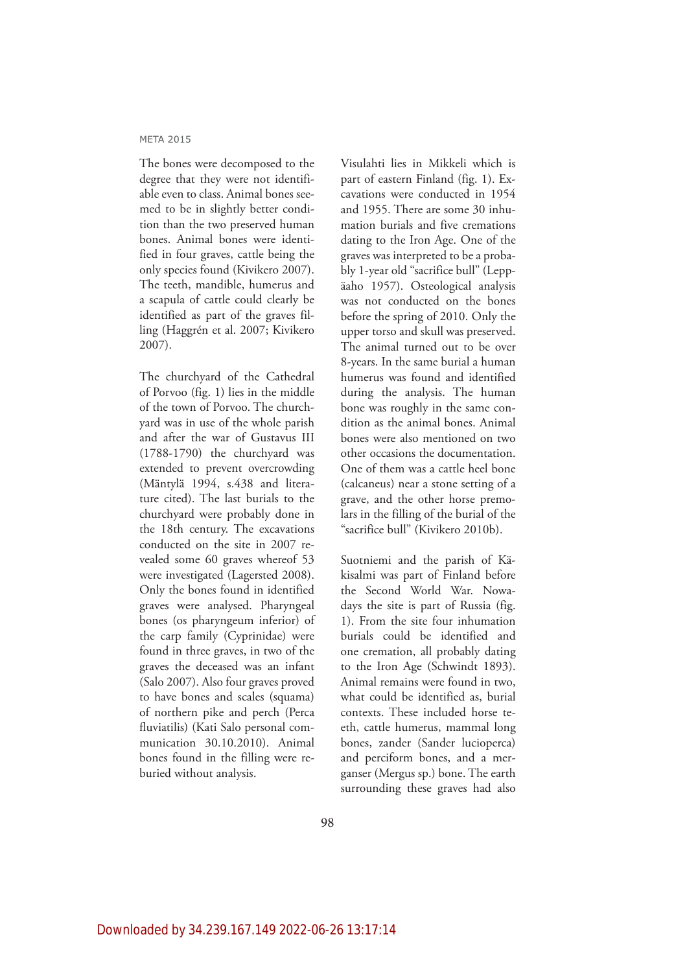The bones were decomposed to the degree that they were not identifiable even to class. Animal bones seemed to be in slightly better condition than the two preserved human bones. Animal bones were identified in four graves, cattle being the only species found (Kivikero 2007). The teeth, mandible, humerus and a scapula of cattle could clearly be identified as part of the graves filling (Haggrén et al. 2007; Kivikero 2007).

The churchyard of the Cathedral of Porvoo (fig. 1) lies in the middle of the town of Porvoo. The churchyard was in use of the whole parish and after the war of Gustavus III (1788-1790) the churchyard was extended to prevent overcrowding (Mäntylä 1994, s.438 and literature cited). The last burials to the churchyard were probably done in the 18th century. The excavations conducted on the site in 2007 revealed some 60 graves whereof 53 were investigated (Lagersted 2008). Only the bones found in identified graves were analysed. Pharyngeal bones (os pharyngeum inferior) of the carp family (Cyprinidae) were found in three graves, in two of the graves the deceased was an infant (Salo 2007). Also four graves proved to have bones and scales (squama) of northern pike and perch (Perca fluviatilis) (Kati Salo personal communication 30.10.2010). Animal bones found in the filling were reburied without analysis.

Visulahti lies in Mikkeli which is part of eastern Finland (fig. 1). Excavations were conducted in 1954 and 1955. There are some 30 inhumation burials and five cremations dating to the Iron Age. One of the graves was interpreted to be a probably 1-year old "sacrifice bull" (Leppäaho 1957). Osteological analysis was not conducted on the bones before the spring of 2010. Only the upper torso and skull was preserved. The animal turned out to be over 8-years. In the same burial a human humerus was found and identified during the analysis. The human bone was roughly in the same condition as the animal bones. Animal bones were also mentioned on two other occasions the documentation. One of them was a cattle heel bone (calcaneus) near a stone setting of a grave, and the other horse premolars in the filling of the burial of the "sacrifice bull" (Kivikero 2010b).

Suotniemi and the parish of Käkisalmi was part of Finland before the Second World War. Nowadays the site is part of Russia (fig. 1). From the site four inhumation burials could be identified and one cremation, all probably dating to the Iron Age (Schwindt 1893). Animal remains were found in two, what could be identified as, burial contexts. These included horse teeth, cattle humerus, mammal long bones, zander (Sander lucioperca) and perciform bones, and a merganser (Mergus sp.) bone. The earth surrounding these graves had also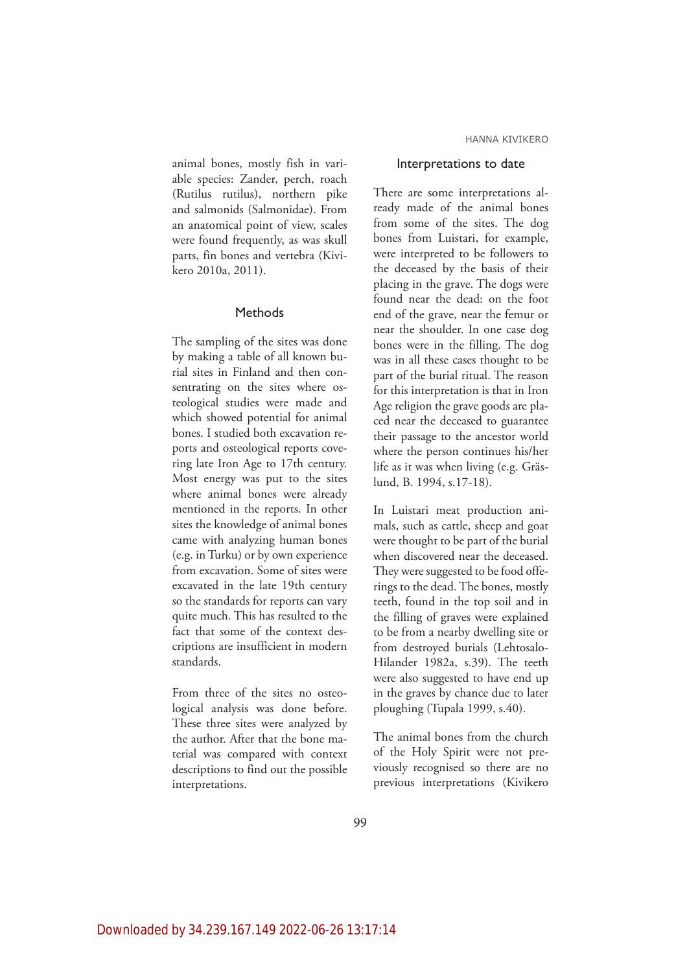animal bones, mostly fish in variable species: Zander, perch, roach (Rutilus rutilus), northern pike and salmonids (Salmonidae). From an anatomical point of view, scales were found frequently, as was skull parts, fin bones and vertebra (Kivikero 2010a, 2011).

## Methods

The sampling of the sites was done by making a table of all known burial sites in Finland and then consentrating on the sites where osteological studies were made and which showed potential for animal bones. I studied both excavation reports and osteological reports covering late Iron Age to 17th century. Most energy was put to the sites where animal bones were already mentioned in the reports. In other sites the knowledge of animal bones came with analyzing human bones (e.g. in Turku) or by own experience from excavation. Some of sites were excavated in the late 19th century so the standards for reports can vary quite much. This has resulted to the fact that some of the context descriptions are insufficient in modern standards.

From three of the sites no osteological analysis was done before. These three sites were analyzed by the author. After that the bone material was compared with context descriptions to find out the possible interpretations.

#### Interpretations to date

There are some interpretations already made of the animal bones from some of the sites. The dog bones from Luistari, for example, were interpreted to be followers to the deceased by the basis of their placing in the grave. The dogs were found near the dead: on the foot end of the grave, near the femur or near the shoulder. In one case dog bones were in the filling. The dog was in all these cases thought to be part of the burial ritual. The reason for this interpretation is that in Iron Age religion the grave goods are placed near the deceased to guarantee their passage to the ancestor world where the person continues his/her life as it was when living (e.g. Gräslund, B. 1994, s.17-18).

In Luistari meat production animals, such as cattle, sheep and goat were thought to be part of the burial when discovered near the deceased. They were suggested to be food offerings to the dead. The bones, mostly teeth, found in the top soil and in the filling of graves were explained to be from a nearby dwelling site or from destroyed burials (Lehtosalo-Hilander 1982a, s.39). The teeth were also suggested to have end up in the graves by chance due to later ploughing (Tupala 1999, s.40).

The animal bones from the church of the Holy Spirit were not previously recognised so there are no previous interpretations (Kivikero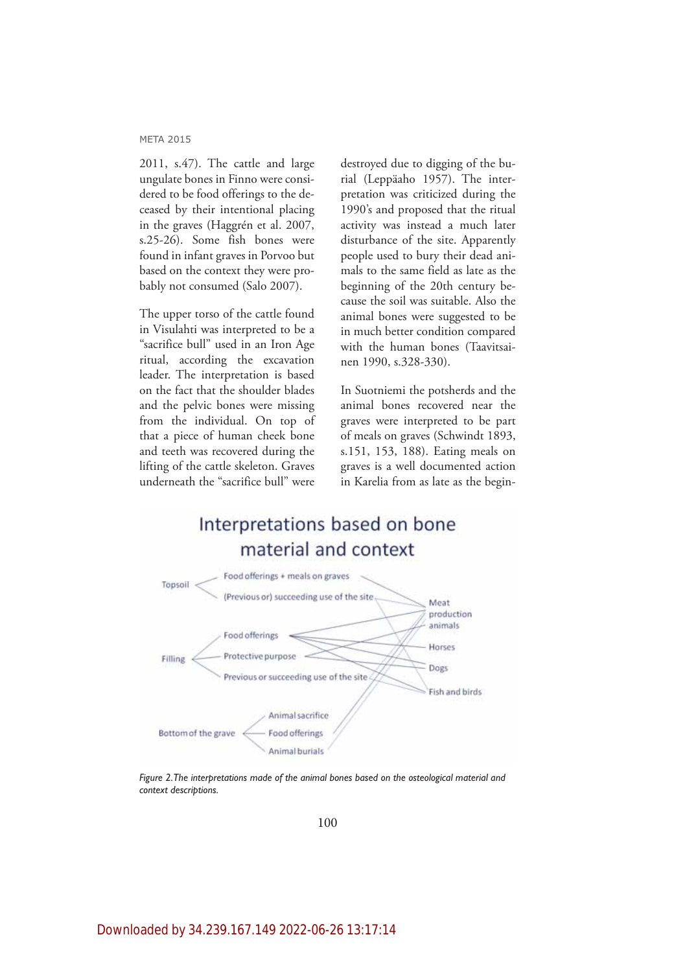2011, s.47). The cattle and large ungulate bones in Finno were considered to be food offerings to the deceased by their intentional placing in the graves (Haggrén et al. 2007, s.25-26). Some fish bones were found in infant graves in Porvoo but based on the context they were probably not consumed (Salo 2007).

The upper torso of the cattle found in Visulahti was interpreted to be a "sacrifice bull" used in an Iron Age ritual, according the excavation leader. The interpretation is based on the fact that the shoulder blades and the pelvic bones were missing from the individual. On top of that a piece of human cheek bone and teeth was recovered during the lifting of the cattle skeleton. Graves underneath the "sacrifice bull" were destroyed due to digging of the burial (Leppäaho 1957). The interpretation was criticized during the 1990's and proposed that the ritual activity was instead a much later disturbance of the site. Apparently people used to bury their dead animals to the same field as late as the beginning of the 20th century because the soil was suitable. Also the animal bones were suggested to be in much better condition compared with the human bones (Taavitsainen 1990, s.328-330).

In Suotniemi the potsherds and the animal bones recovered near the graves were interpreted to be part of meals on graves (Schwindt 1893, s.151, 153, 188). Eating meals on graves is a well documented action in Karelia from as late as the begin-





*Figure 2. The interpretations made of the animal bones based on the osteological material and context descriptions.*

100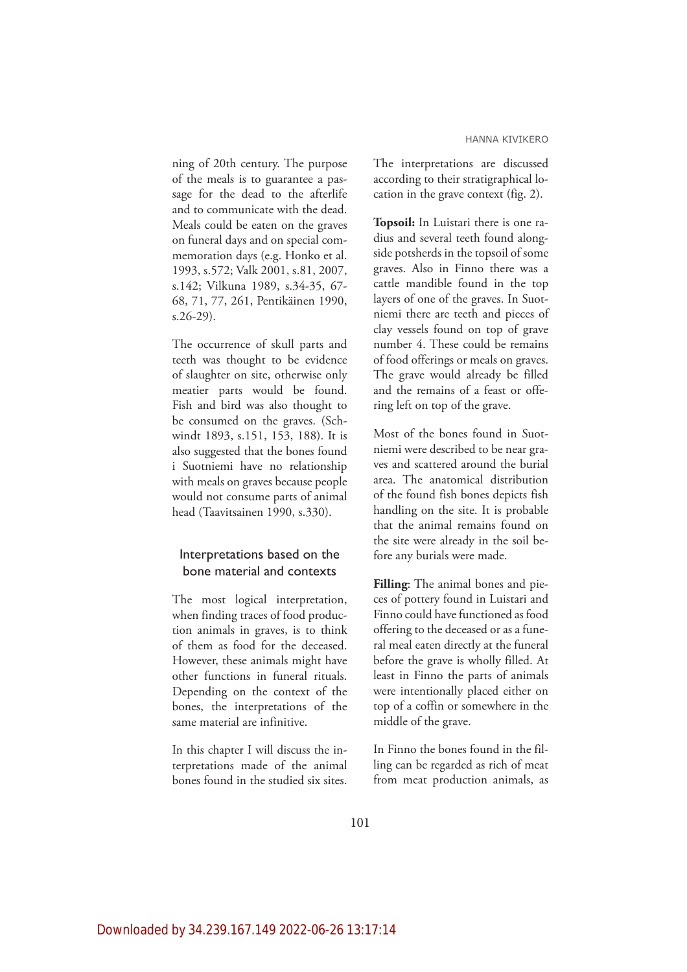ning of 20th century. The purpose of the meals is to guarantee a passage for the dead to the afterlife and to communicate with the dead. Meals could be eaten on the graves on funeral days and on special commemoration days (e.g. Honko et al. 1993, s.572; Valk 2001, s.81, 2007, s.142; Vilkuna 1989, s.34-35, 67- 68, 71, 77, 261, Pentikäinen 1990, s.26-29).

The occurrence of skull parts and teeth was thought to be evidence of slaughter on site, otherwise only meatier parts would be found. Fish and bird was also thought to be consumed on the graves. (Schwindt 1893, s.151, 153, 188). It is also suggested that the bones found i Suotniemi have no relationship with meals on graves because people would not consume parts of animal head (Taavitsainen 1990, s.330).

# Interpretations based on the bone material and contexts

The most logical interpretation, when finding traces of food production animals in graves, is to think of them as food for the deceased. However, these animals might have other functions in funeral rituals. Depending on the context of the bones, the interpretations of the same material are infinitive.

In this chapter I will discuss the interpretations made of the animal bones found in the studied six sites. The interpretations are discussed according to their stratigraphical location in the grave context (fig. 2).

**Topsoil:** In Luistari there is one radius and several teeth found alongside potsherds in the topsoil of some graves. Also in Finno there was a cattle mandible found in the top layers of one of the graves. In Suotniemi there are teeth and pieces of clay vessels found on top of grave number 4. These could be remains of food offerings or meals on graves. The grave would already be filled and the remains of a feast or offering left on top of the grave.

Most of the bones found in Suotniemi were described to be near graves and scattered around the burial area. The anatomical distribution of the found fish bones depicts fish handling on the site. It is probable that the animal remains found on the site were already in the soil before any burials were made.

**Filling**: The animal bones and pieces of pottery found in Luistari and Finno could have functioned as food offering to the deceased or as a funeral meal eaten directly at the funeral before the grave is wholly filled. At least in Finno the parts of animals were intentionally placed either on top of a coffin or somewhere in the middle of the grave.

In Finno the bones found in the filling can be regarded as rich of meat from meat production animals, as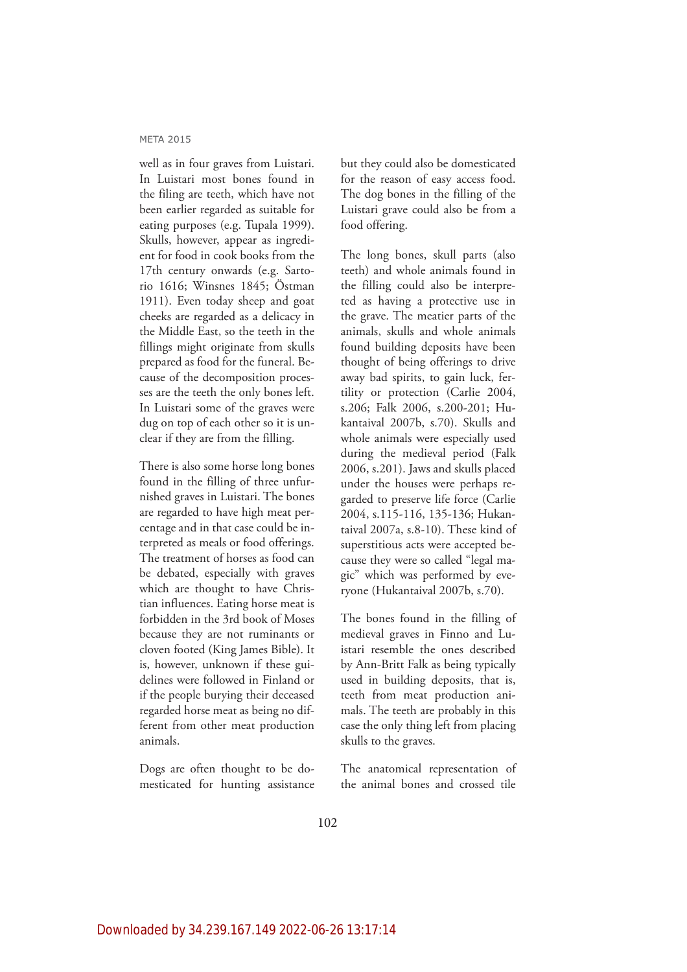well as in four graves from Luistari. In Luistari most bones found in the filing are teeth, which have not been earlier regarded as suitable for eating purposes (e.g. Tupala 1999). Skulls, however, appear as ingredient for food in cook books from the 17th century onwards (e.g. Sartorio 1616; Winsnes 1845; Östman 1911). Even today sheep and goat cheeks are regarded as a delicacy in the Middle East, so the teeth in the fillings might originate from skulls prepared as food for the funeral. Because of the decomposition processes are the teeth the only bones left. In Luistari some of the graves were dug on top of each other so it is unclear if they are from the filling.

There is also some horse long bones found in the filling of three unfurnished graves in Luistari. The bones are regarded to have high meat percentage and in that case could be interpreted as meals or food offerings. The treatment of horses as food can be debated, especially with graves which are thought to have Christian influences. Eating horse meat is forbidden in the 3rd book of Moses because they are not ruminants or cloven footed (King James Bible). It is, however, unknown if these guidelines were followed in Finland or if the people burying their deceased regarded horse meat as being no different from other meat production animals.

Dogs are often thought to be domesticated for hunting assistance

but they could also be domesticated for the reason of easy access food. The dog bones in the filling of the Luistari grave could also be from a food offering.

The long bones, skull parts (also teeth) and whole animals found in the filling could also be interpreted as having a protective use in the grave. The meatier parts of the animals, skulls and whole animals found building deposits have been thought of being offerings to drive away bad spirits, to gain luck, fertility or protection (Carlie 2004, s.206; Falk 2006, s.200-201; Hukantaival 2007b, s.70). Skulls and whole animals were especially used during the medieval period (Falk 2006, s.201). Jaws and skulls placed under the houses were perhaps regarded to preserve life force (Carlie 2004, s.115-116, 135-136; Hukantaival 2007a, s.8-10). These kind of superstitious acts were accepted because they were so called "legal magic" which was performed by everyone (Hukantaival 2007b, s.70).

The bones found in the filling of medieval graves in Finno and Luistari resemble the ones described by Ann-Britt Falk as being typically used in building deposits, that is, teeth from meat production animals. The teeth are probably in this case the only thing left from placing skulls to the graves.

The anatomical representation of the animal bones and crossed tile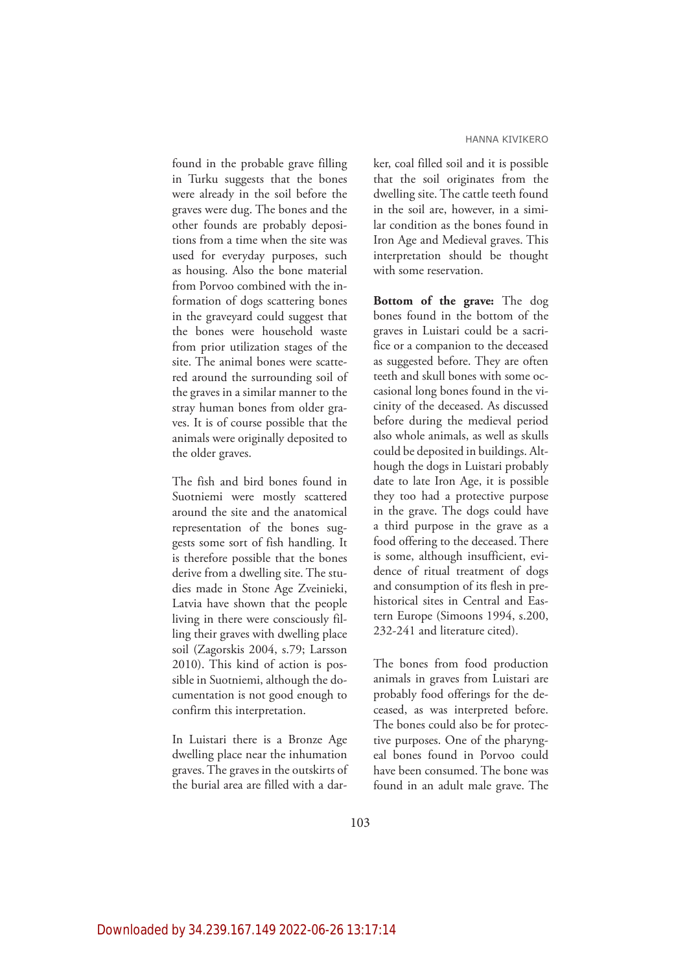found in the probable grave filling in Turku suggests that the bones were already in the soil before the graves were dug. The bones and the other founds are probably depositions from a time when the site was used for everyday purposes, such as housing. Also the bone material from Porvoo combined with the information of dogs scattering bones in the graveyard could suggest that the bones were household waste from prior utilization stages of the site. The animal bones were scattered around the surrounding soil of the graves in a similar manner to the stray human bones from older graves. It is of course possible that the animals were originally deposited to the older graves.

The fish and bird bones found in Suotniemi were mostly scattered around the site and the anatomical representation of the bones suggests some sort of fish handling. It is therefore possible that the bones derive from a dwelling site. The studies made in Stone Age Zveinieki, Latvia have shown that the people living in there were consciously filling their graves with dwelling place soil (Zagorskis 2004, s.79; Larsson 2010). This kind of action is possible in Suotniemi, although the documentation is not good enough to confirm this interpretation.

In Luistari there is a Bronze Age dwelling place near the inhumation graves. The graves in the outskirts of the burial area are filled with a darker, coal filled soil and it is possible that the soil originates from the dwelling site. The cattle teeth found in the soil are, however, in a similar condition as the bones found in Iron Age and Medieval graves. This interpretation should be thought with some reservation.

**Bottom of the grave:** The dog bones found in the bottom of the graves in Luistari could be a sacrifice or a companion to the deceased as suggested before. They are often teeth and skull bones with some occasional long bones found in the vicinity of the deceased. As discussed before during the medieval period also whole animals, as well as skulls could be deposited in buildings. Although the dogs in Luistari probably date to late Iron Age, it is possible they too had a protective purpose in the grave. The dogs could have a third purpose in the grave as a food offering to the deceased. There is some, although insufficient, evidence of ritual treatment of dogs and consumption of its flesh in prehistorical sites in Central and Eastern Europe (Simoons 1994, s.200, 232-241 and literature cited).

The bones from food production animals in graves from Luistari are probably food offerings for the deceased, as was interpreted before. The bones could also be for protective purposes. One of the pharyngeal bones found in Porvoo could have been consumed. The bone was found in an adult male grave. The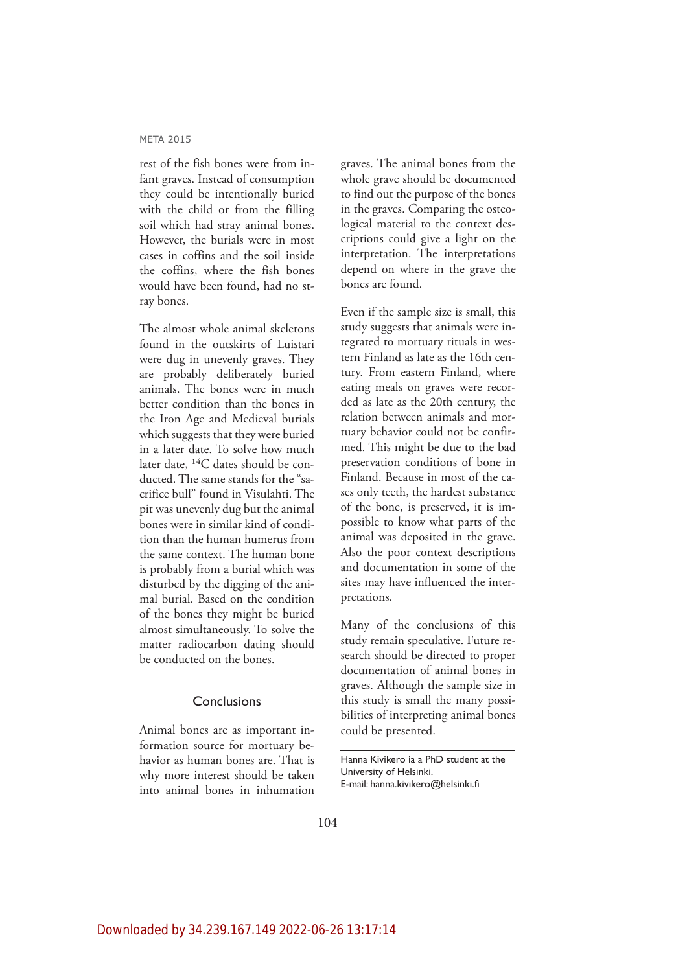rest of the fish bones were from infant graves. Instead of consumption they could be intentionally buried with the child or from the filling soil which had stray animal bones. However, the burials were in most cases in coffins and the soil inside the coffins, where the fish bones would have been found, had no stray bones.

The almost whole animal skeletons found in the outskirts of Luistari were dug in unevenly graves. They are probably deliberately buried animals. The bones were in much better condition than the bones in the Iron Age and Medieval burials which suggests that they were buried in a later date. To solve how much later date,  $^{14}C$  dates should be conducted. The same stands for the "sacrifice bull" found in Visulahti. The pit was unevenly dug but the animal bones were in similar kind of condition than the human humerus from the same context. The human bone is probably from a burial which was disturbed by the digging of the animal burial. Based on the condition of the bones they might be buried almost simultaneously. To solve the matter radiocarbon dating should be conducted on the bones.

### Conclusions

Animal bones are as important information source for mortuary behavior as human bones are. That is why more interest should be taken into animal bones in inhumation

graves. The animal bones from the whole grave should be documented to find out the purpose of the bones in the graves. Comparing the osteological material to the context descriptions could give a light on the interpretation. The interpretations depend on where in the grave the bones are found.

Even if the sample size is small, this study suggests that animals were integrated to mortuary rituals in western Finland as late as the 16th century. From eastern Finland, where eating meals on graves were recorded as late as the 20th century, the relation between animals and mortuary behavior could not be confirmed. This might be due to the bad preservation conditions of bone in Finland. Because in most of the cases only teeth, the hardest substance of the bone, is preserved, it is impossible to know what parts of the animal was deposited in the grave. Also the poor context descriptions and documentation in some of the sites may have influenced the interpretations.

Many of the conclusions of this study remain speculative. Future research should be directed to proper documentation of animal bones in graves. Although the sample size in this study is small the many possibilities of interpreting animal bones could be presented.

Hanna Kivikero ia a PhD student at the University of Helsinki. E-mail: hanna.kivikero@helsinki.fi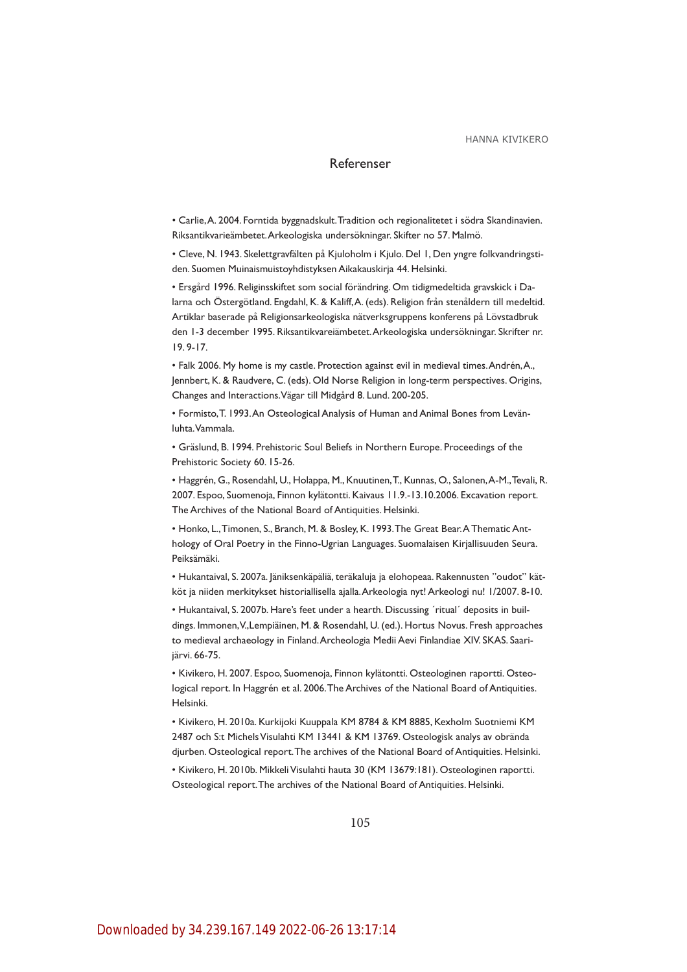#### Referenser

Carlie, A. 2004. Forntida byggnadskult. Tradition och regionalitetet i södra Skandinavien. Riksantikvarieämbetet. Arkeologiska undersökningar. Skifter no 57. Malmö.

• Cleve, N. 1943. Skelettgravfälten på Kjuloholm i Kjulo. Del 1, Den yngre folkvandringstiden. Suomen Muinaismuistoyhdistyksen Aikakauskirja 44. Helsinki.

• Ersgård 1996. Religinsskiftet som social förändring. Om tidigmedeltida gravskick i Dalarna och Östergötland. Engdahl, K. & Kaliff, A. (eds). Religion från stenåldern till medeltid. Artiklar baserade på Religionsarkeologiska nätverksgruppens konferens på Lövstadbruk den I-3 december 1995. Riksantikvareiämbetet. Arkeologiska undersökningar. Skrifter nr.  $19.9 - 17.$ 

Falk 2006. My home is my castle. Protection against evil in medieval times. Andrén, A., Jennbert, K. & Raudvere, C. (eds). Old Norse Religion in long-term perspectives. Origins, Changes and Interactions. Vägar till Midgård 8. Lund. 200-205.

• Formisto, T. 1993. An Osteological Analysis of Human and Animal Bones from Levänluhta. Vammala.

\* Gräslund, B. 1994. Prehistoric Soul Beliefs in Northern Europe. Proceedings of the Prehistoric Society 60. 15-26.

Haggrén, G., Rosendahl, U., Holappa, M., Knuutinen, T., Kunnas, O., Salonen, A-M., Tevali, R. 2007. Espoo, Suomenoja, Finnon kylätontti. Kaivaus 11.9.-13.10.2006. Excavation report. The Archives of the National Board of Antiquities. Helsinki.

• Honko, L., Timonen, S., Branch, M. & Bosley, K. 1993. The Great Bear. A Thematic Anthology of Oral Poetry in the Finno-Ugrian Languages. Suomalaisen Kirjallisuuden Seura. Peiksämäki.

• Hukantaival, S. 2007a. Jäniksenkäpäliä, teräkaluja ja elohopeaa. Rakennusten "oudot" kätköt ja niiden merkitykset historiallisella ajalla. Arkeologia nyt! Arkeologi nu! 1/2007. 8-10.

• Hukantaival, S. 2007b. Hare's feet under a hearth. Discussing 'ritual' deposits in buildings. Immonen, V.,Lempiäinen, M. & Rosendahl, U. (ed.). Hortus Novus. Fresh approaches to medieval archaeology in Finland. Archeologia Medii Aevi Finlandiae XIV. SKAS. Saarijärvi. 66-75.

• Kivikero, H. 2007. Espoo, Suomenoja, Finnon kylätontti. Osteologinen raportti. Osteological report. In Haggrén et al. 2006. The Archives of the National Board of Antiquities. Helsinki.

· Kivikero, H. 2010a. Kurkijoki Kuuppala KM 8784 & KM 8885, Kexholm Suotniemi KM 2487 och S:t Michels Visulahti KM 13441 & KM 13769. Osteologisk analys av obrända djurben. Osteological report. The archives of the National Board of Antiquities. Helsinki.

• Kivikero, H. 2010b. Mikkeli Visulahti hauta 30 (KM 13679:181). Osteologinen raportti. Osteological report. The archives of the National Board of Antiquities. Helsinki.

105